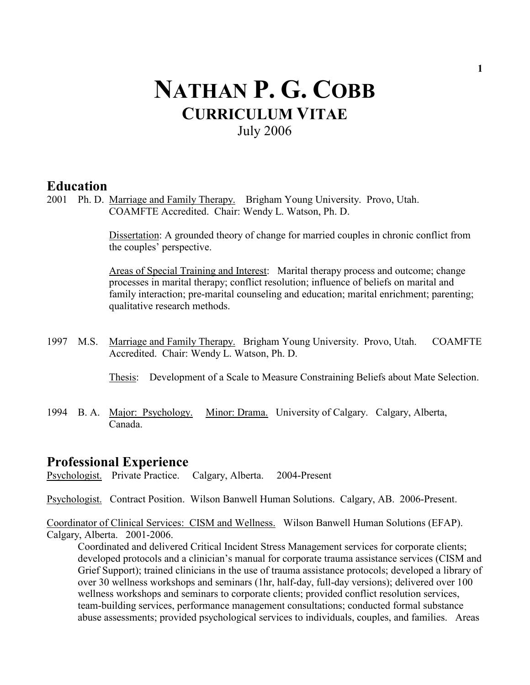# NATHAN P. G. COBB CURRICULUM VITAE July 2006

### **Education**

2001 Ph. D. Marriage and Family Therapy. Brigham Young University. Provo, Utah. COAMFTE Accredited. Chair: Wendy L. Watson, Ph. D.

> Dissertation: A grounded theory of change for married couples in chronic conflict from the couples' perspective.

> Areas of Special Training and Interest: Marital therapy process and outcome; change processes in marital therapy; conflict resolution; influence of beliefs on marital and family interaction; pre-marital counseling and education; marital enrichment; parenting; qualitative research methods.

1997 M.S. Marriage and Family Therapy. Brigham Young University. Provo, Utah. COAMFTE Accredited. Chair: Wendy L. Watson, Ph. D.

Thesis: Development of a Scale to Measure Constraining Beliefs about Mate Selection.

1994 B. A. Major: Psychology. Minor: Drama. University of Calgary. Calgary, Alberta, Canada.

### Professional Experience

Psychologist. Private Practice. Calgary, Alberta. 2004-Present

Psychologist. Contract Position. Wilson Banwell Human Solutions. Calgary, AB. 2006-Present.

Coordinator of Clinical Services: CISM and Wellness. Wilson Banwell Human Solutions (EFAP). Calgary, Alberta. 2001-2006.

Coordinated and delivered Critical Incident Stress Management services for corporate clients; developed protocols and a clinician's manual for corporate trauma assistance services (CISM and Grief Support); trained clinicians in the use of trauma assistance protocols; developed a library of over 30 wellness workshops and seminars (1hr, half-day, full-day versions); delivered over 100 wellness workshops and seminars to corporate clients; provided conflict resolution services, team-building services, performance management consultations; conducted formal substance abuse assessments; provided psychological services to individuals, couples, and families. Areas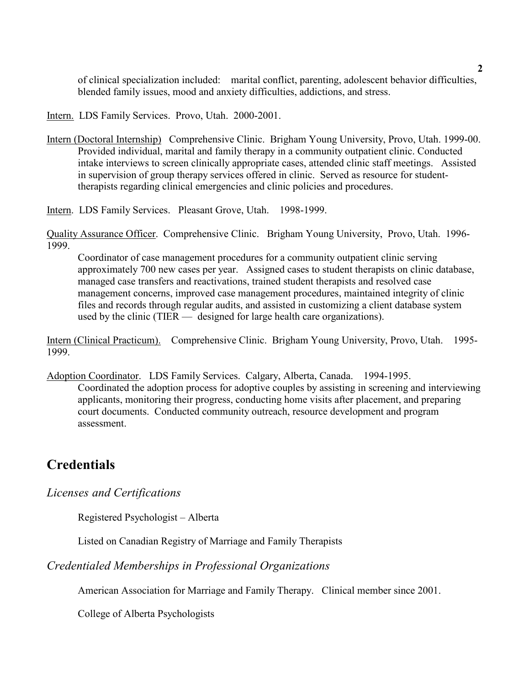of clinical specialization included: marital conflict, parenting, adolescent behavior difficulties, blended family issues, mood and anxiety difficulties, addictions, and stress.

Intern. LDS Family Services. Provo, Utah. 2000-2001.

Intern (Doctoral Internship) Comprehensive Clinic. Brigham Young University, Provo, Utah. 1999-00. Provided individual, marital and family therapy in a community outpatient clinic. Conducted intake interviews to screen clinically appropriate cases, attended clinic staff meetings. Assisted in supervision of group therapy services offered in clinic. Served as resource for studenttherapists regarding clinical emergencies and clinic policies and procedures.

Intern. LDS Family Services. Pleasant Grove, Utah. 1998-1999.

Quality Assurance Officer. Comprehensive Clinic. Brigham Young University, Provo, Utah. 1996- 1999.

Coordinator of case management procedures for a community outpatient clinic serving approximately 700 new cases per year. Assigned cases to student therapists on clinic database, managed case transfers and reactivations, trained student therapists and resolved case management concerns, improved case management procedures, maintained integrity of clinic files and records through regular audits, and assisted in customizing a client database system used by the clinic (TIER — designed for large health care organizations).

Intern (Clinical Practicum). Comprehensive Clinic. Brigham Young University, Provo, Utah. 1995- 1999.

Adoption Coordinator. LDS Family Services. Calgary, Alberta, Canada. 1994-1995. Coordinated the adoption process for adoptive couples by assisting in screening and interviewing applicants, monitoring their progress, conducting home visits after placement, and preparing court documents. Conducted community outreach, resource development and program assessment.

# **Credentials**

Licenses and Certifications

Registered Psychologist – Alberta

Listed on Canadian Registry of Marriage and Family Therapists

Credentialed Memberships in Professional Organizations

American Association for Marriage and Family Therapy. Clinical member since 2001.

College of Alberta Psychologists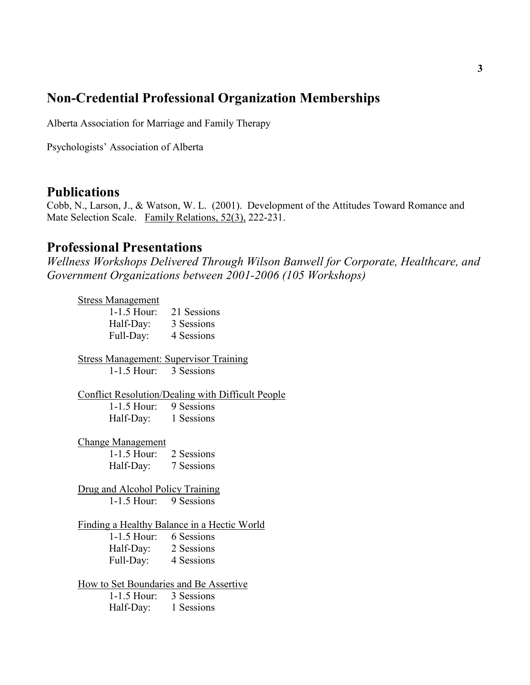# Non-Credential Professional Organization Memberships

Alberta Association for Marriage and Family Therapy

Psychologists' Association of Alberta

### **Publications**

Cobb, N., Larson, J., & Watson, W. L. (2001). Development of the Attitudes Toward Romance and Mate Selection Scale. Family Relations, 52(3), 222-231.

### Professional Presentations

Wellness Workshops Delivered Through Wilson Banwell for Corporate, Healthcare, and Government Organizations between 2001-2006 (105 Workshops)

#### Stress Management

1-1.5 Hour: 21 Sessions Half-Day: 3 Sessions Full-Day: 4 Sessions

Stress Management: Supervisor Training 1-1.5 Hour: 3 Sessions

Conflict Resolution/Dealing with Difficult People 1-1.5 Hour: 9 Sessions Half-Day: 1 Sessions

Change Management 1-1.5 Hour: 2 Sessions Half-Day: 7 Sessions

Drug and Alcohol Policy Training 1-1.5 Hour: 9 Sessions

Finding a Healthy Balance in a Hectic World 1-1.5 Hour: 6 Sessions Half-Day: 2 Sessions Full-Day: 4 Sessions

How to Set Boundaries and Be Assertive<br>1-1.5 Hour: 3 Sessions  $1-1.5$  Hour:

Half-Day: 1 Sessions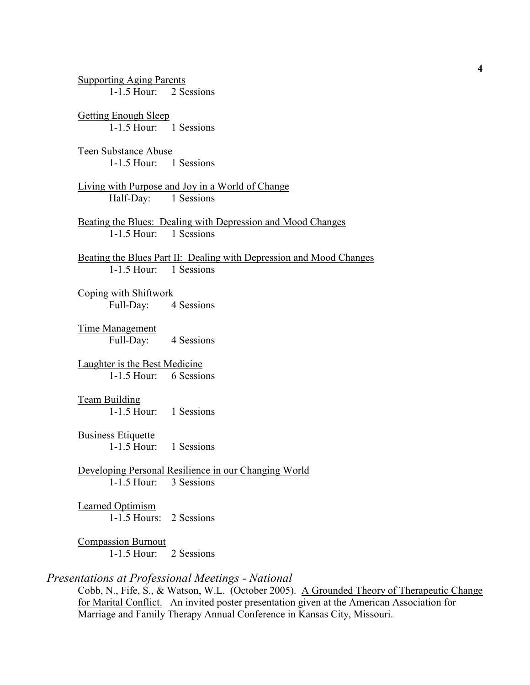Supporting Aging Parents 1-1.5 Hour: 2 Sessions Getting Enough Sleep 1-1.5 Hour: 1 Sessions Teen Substance Abuse 1-1.5 Hour: 1 Sessions Living with Purpose and Joy in a World of Change Half-Day: 1 Sessions Beating the Blues: Dealing with Depression and Mood Changes 1-1.5 Hour: 1 Sessions Beating the Blues Part II: Dealing with Depression and Mood Changes 1-1.5 Hour: 1 Sessions Coping with Shiftwork Full-Day: 4 Sessions Time Management Full-Day: 4 Sessions Laughter is the Best Medicine 1-1.5 Hour: 6 Sessions Team Building 1-1.5 Hour: 1 Sessions Business Etiquette 1-1.5 Hour: 1 Sessions Developing Personal Resilience in our Changing World 1-1.5 Hour: 3 Sessions Learned Optimism 1-1.5 Hours: 2 Sessions Compassion Burnout 1-1.5 Hour: 2 Sessions Presentations at Professional Meetings - National

Cobb, N., Fife, S., & Watson, W.L. (October 2005). A Grounded Theory of Therapeutic Change for Marital Conflict. An invited poster presentation given at the American Association for Marriage and Family Therapy Annual Conference in Kansas City, Missouri.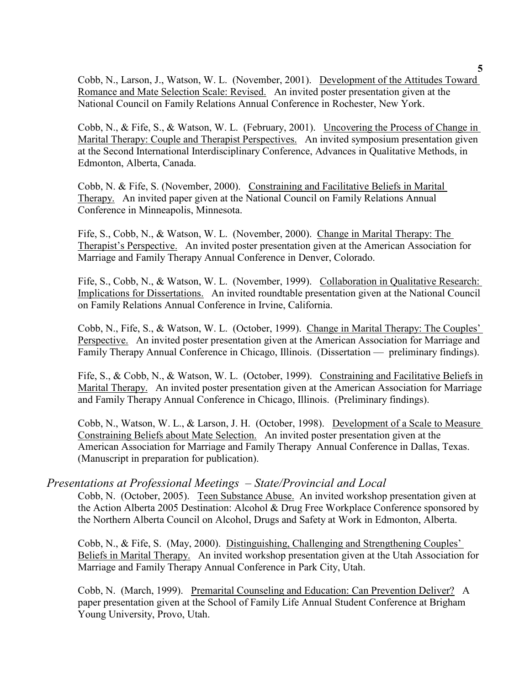Cobb, N., Larson, J., Watson, W. L. (November, 2001). Development of the Attitudes Toward Romance and Mate Selection Scale: Revised. An invited poster presentation given at the National Council on Family Relations Annual Conference in Rochester, New York.

Cobb, N., & Fife, S., & Watson, W. L. (February, 2001). Uncovering the Process of Change in Marital Therapy: Couple and Therapist Perspectives. An invited symposium presentation given at the Second International Interdisciplinary Conference, Advances in Qualitative Methods, in Edmonton, Alberta, Canada.

Cobb, N. & Fife, S. (November, 2000). Constraining and Facilitative Beliefs in Marital Therapy. An invited paper given at the National Council on Family Relations Annual Conference in Minneapolis, Minnesota.

Fife, S., Cobb, N., & Watson, W. L. (November, 2000). Change in Marital Therapy: The Therapist's Perspective. An invited poster presentation given at the American Association for Marriage and Family Therapy Annual Conference in Denver, Colorado.

Fife, S., Cobb, N., & Watson, W. L. (November, 1999). Collaboration in Qualitative Research: Implications for Dissertations. An invited roundtable presentation given at the National Council on Family Relations Annual Conference in Irvine, California.

Cobb, N., Fife, S., & Watson, W. L. (October, 1999). Change in Marital Therapy: The Couples' Perspective. An invited poster presentation given at the American Association for Marriage and Family Therapy Annual Conference in Chicago, Illinois. (Dissertation — preliminary findings).

Fife, S., & Cobb, N., & Watson, W. L. (October, 1999). Constraining and Facilitative Beliefs in Marital Therapy. An invited poster presentation given at the American Association for Marriage and Family Therapy Annual Conference in Chicago, Illinois. (Preliminary findings).

Cobb, N., Watson, W. L., & Larson, J. H. (October, 1998). Development of a Scale to Measure Constraining Beliefs about Mate Selection. An invited poster presentation given at the American Association for Marriage and Family Therapy Annual Conference in Dallas, Texas. (Manuscript in preparation for publication).

### Presentations at Professional Meetings – State/Provincial and Local

Cobb, N. (October, 2005). Teen Substance Abuse. An invited workshop presentation given at the Action Alberta 2005 Destination: Alcohol & Drug Free Workplace Conference sponsored by the Northern Alberta Council on Alcohol, Drugs and Safety at Work in Edmonton, Alberta.

Cobb, N., & Fife, S. (May, 2000). Distinguishing, Challenging and Strengthening Couples' Beliefs in Marital Therapy. An invited workshop presentation given at the Utah Association for Marriage and Family Therapy Annual Conference in Park City, Utah.

Cobb, N. (March, 1999). Premarital Counseling and Education: Can Prevention Deliver? A paper presentation given at the School of Family Life Annual Student Conference at Brigham Young University, Provo, Utah.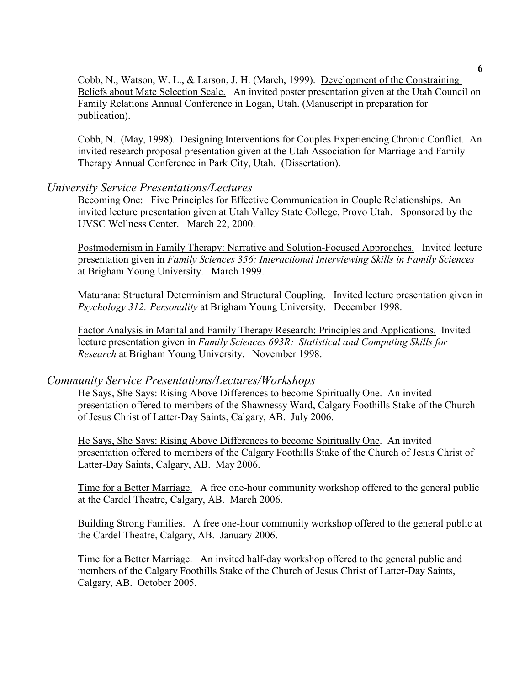Cobb, N., Watson, W. L., & Larson, J. H. (March, 1999). Development of the Constraining Beliefs about Mate Selection Scale. An invited poster presentation given at the Utah Council on Family Relations Annual Conference in Logan, Utah. (Manuscript in preparation for publication).

Cobb, N. (May, 1998). Designing Interventions for Couples Experiencing Chronic Conflict. An invited research proposal presentation given at the Utah Association for Marriage and Family Therapy Annual Conference in Park City, Utah. (Dissertation).

#### University Service Presentations/Lectures

Becoming One: Five Principles for Effective Communication in Couple Relationships. An invited lecture presentation given at Utah Valley State College, Provo Utah. Sponsored by the UVSC Wellness Center. March 22, 2000.

Postmodernism in Family Therapy: Narrative and Solution-Focused Approaches. Invited lecture presentation given in Family Sciences 356: Interactional Interviewing Skills in Family Sciences at Brigham Young University. March 1999.

Maturana: Structural Determinism and Structural Coupling. Invited lecture presentation given in Psychology 312: Personality at Brigham Young University. December 1998.

 Factor Analysis in Marital and Family Therapy Research: Principles and Applications. Invited lecture presentation given in Family Sciences 693R: Statistical and Computing Skills for Research at Brigham Young University. November 1998.

### Community Service Presentations/Lectures/Workshops

He Says, She Says: Rising Above Differences to become Spiritually One. An invited presentation offered to members of the Shawnessy Ward, Calgary Foothills Stake of the Church of Jesus Christ of Latter-Day Saints, Calgary, AB. July 2006.

He Says, She Says: Rising Above Differences to become Spiritually One. An invited presentation offered to members of the Calgary Foothills Stake of the Church of Jesus Christ of Latter-Day Saints, Calgary, AB. May 2006.

Time for a Better Marriage. A free one-hour community workshop offered to the general public at the Cardel Theatre, Calgary, AB. March 2006.

Building Strong Families. A free one-hour community workshop offered to the general public at the Cardel Theatre, Calgary, AB. January 2006.

Time for a Better Marriage. An invited half-day workshop offered to the general public and members of the Calgary Foothills Stake of the Church of Jesus Christ of Latter-Day Saints, Calgary, AB. October 2005.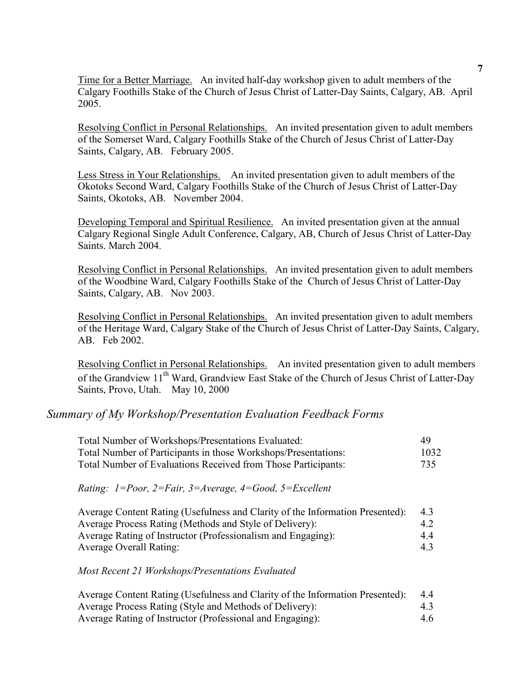Time for a Better Marriage. An invited half-day workshop given to adult members of the Calgary Foothills Stake of the Church of Jesus Christ of Latter-Day Saints, Calgary, AB. April 2005.

Resolving Conflict in Personal Relationships. An invited presentation given to adult members of the Somerset Ward, Calgary Foothills Stake of the Church of Jesus Christ of Latter-Day Saints, Calgary, AB. February 2005.

Less Stress in Your Relationships. An invited presentation given to adult members of the Okotoks Second Ward, Calgary Foothills Stake of the Church of Jesus Christ of Latter-Day Saints, Okotoks, AB. November 2004.

Developing Temporal and Spiritual Resilience. An invited presentation given at the annual Calgary Regional Single Adult Conference, Calgary, AB, Church of Jesus Christ of Latter-Day Saints. March 2004.

Resolving Conflict in Personal Relationships. An invited presentation given to adult members of the Woodbine Ward, Calgary Foothills Stake of the Church of Jesus Christ of Latter-Day Saints, Calgary, AB. Nov 2003.

Resolving Conflict in Personal Relationships. An invited presentation given to adult members of the Heritage Ward, Calgary Stake of the Church of Jesus Christ of Latter-Day Saints, Calgary, AB. Feb 2002.

Resolving Conflict in Personal Relationships. An invited presentation given to adult members of the Grandview 11<sup>th</sup> Ward, Grandview East Stake of the Church of Jesus Christ of Latter-Day Saints, Provo, Utah. May 10, 2000

### Summary of My Workshop/Presentation Evaluation Feedback Forms

| Total Number of Workshops/Presentations Evaluated:             | -49  |
|----------------------------------------------------------------|------|
| Total Number of Participants in those Workshops/Presentations: | 1032 |
| Total Number of Evaluations Received from Those Participants:  | 735  |

#### Rating:  $1 = Poor$ ,  $2 = Fair$ ,  $3 = Average$ ,  $4 = Good$ ,  $5 = Excel$ lent

| Average Content Rating (Usefulness and Clarity of the Information Presented): | 4.3 |
|-------------------------------------------------------------------------------|-----|
| Average Process Rating (Methods and Style of Delivery):                       | 42  |
| Average Rating of Instructor (Professionalism and Engaging):                  | 44  |
| <b>Average Overall Rating:</b>                                                | 4.3 |

Most Recent 21 Workshops/Presentations Evaluated

| Average Content Rating (Usefulness and Clarity of the Information Presented): | 4.4 |
|-------------------------------------------------------------------------------|-----|
| Average Process Rating (Style and Methods of Delivery):                       | 4.3 |
| Average Rating of Instructor (Professional and Engaging):                     | 4.6 |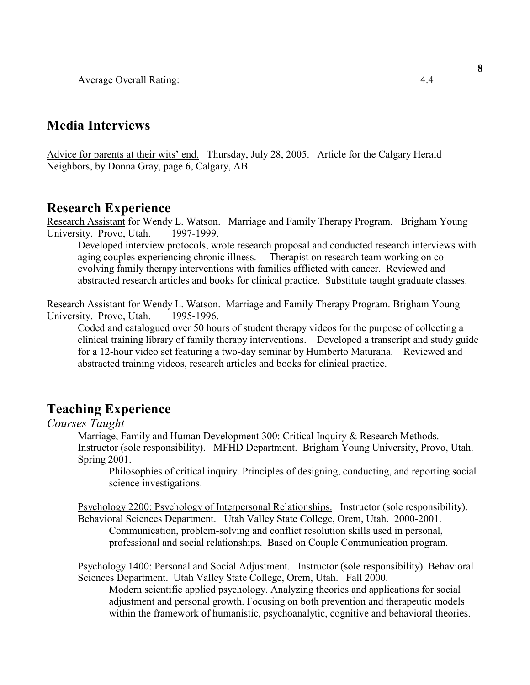Average Overall Rating: 4.4

### Media Interviews

Advice for parents at their wits' end. Thursday, July 28, 2005. Article for the Calgary Herald Neighbors, by Donna Gray, page 6, Calgary, AB.

### Research Experience

Research Assistant for Wendy L. Watson. Marriage and Family Therapy Program. Brigham Young University. Provo, Utah. 1997-1999.

Developed interview protocols, wrote research proposal and conducted research interviews with aging couples experiencing chronic illness. Therapist on research team working on coevolving family therapy interventions with families afflicted with cancer. Reviewed and abstracted research articles and books for clinical practice. Substitute taught graduate classes.

Research Assistant for Wendy L. Watson. Marriage and Family Therapy Program. Brigham Young University. Provo, Utah. 1995-1996.

Coded and catalogued over 50 hours of student therapy videos for the purpose of collecting a clinical training library of family therapy interventions. Developed a transcript and study guide for a 12-hour video set featuring a two-day seminar by Humberto Maturana. Reviewed and abstracted training videos, research articles and books for clinical practice.

# Teaching Experience

#### Courses Taught

Marriage, Family and Human Development 300: Critical Inquiry & Research Methods. Instructor (sole responsibility). MFHD Department. Brigham Young University, Provo, Utah. Spring 2001.

Philosophies of critical inquiry. Principles of designing, conducting, and reporting social science investigations.

Psychology 2200: Psychology of Interpersonal Relationships. Instructor (sole responsibility). Behavioral Sciences Department. Utah Valley State College, Orem, Utah. 2000-2001. Communication, problem-solving and conflict resolution skills used in personal, professional and social relationships. Based on Couple Communication program.

Psychology 1400: Personal and Social Adjustment. Instructor (sole responsibility). Behavioral Sciences Department. Utah Valley State College, Orem, Utah. Fall 2000.

Modern scientific applied psychology. Analyzing theories and applications for social adjustment and personal growth. Focusing on both prevention and therapeutic models within the framework of humanistic, psychoanalytic, cognitive and behavioral theories.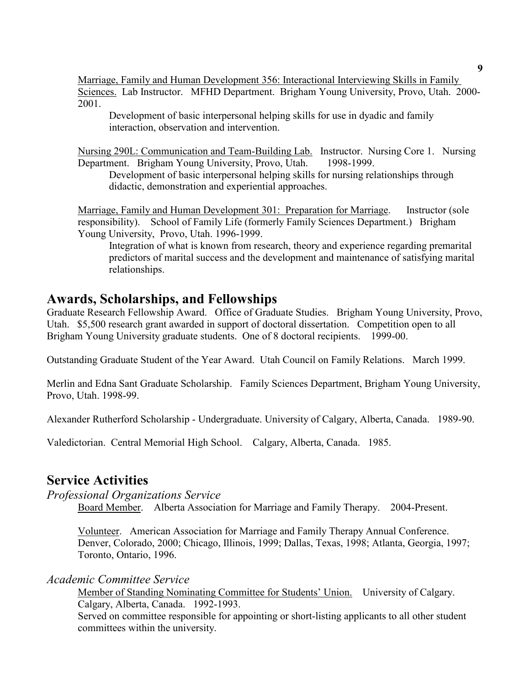Marriage, Family and Human Development 356: Interactional Interviewing Skills in Family Sciences. Lab Instructor. MFHD Department. Brigham Young University, Provo, Utah. 2000- 2001.

Development of basic interpersonal helping skills for use in dyadic and family interaction, observation and intervention.

Nursing 290L: Communication and Team-Building Lab. Instructor. Nursing Core 1. Nursing Department. Brigham Young University, Provo, Utah. 1998-1999.

 Development of basic interpersonal helping skills for nursing relationships through didactic, demonstration and experiential approaches.

Marriage, Family and Human Development 301: Preparation for Marriage. Instructor (sole responsibility). School of Family Life (formerly Family Sciences Department.) Brigham Young University, Provo, Utah. 1996-1999.

Integration of what is known from research, theory and experience regarding premarital predictors of marital success and the development and maintenance of satisfying marital relationships.

### Awards, Scholarships, and Fellowships

Graduate Research Fellowship Award. Office of Graduate Studies. Brigham Young University, Provo, Utah. \$5,500 research grant awarded in support of doctoral dissertation. Competition open to all Brigham Young University graduate students. One of 8 doctoral recipients. 1999-00.

Outstanding Graduate Student of the Year Award. Utah Council on Family Relations. March 1999.

Merlin and Edna Sant Graduate Scholarship. Family Sciences Department, Brigham Young University, Provo, Utah. 1998-99.

Alexander Rutherford Scholarship - Undergraduate. University of Calgary, Alberta, Canada. 1989-90.

Valedictorian. Central Memorial High School. Calgary, Alberta, Canada. 1985.

# Service Activities

Professional Organizations Service

Board Member. Alberta Association for Marriage and Family Therapy. 2004-Present.

Volunteer. American Association for Marriage and Family Therapy Annual Conference. Denver, Colorado, 2000; Chicago, Illinois, 1999; Dallas, Texas, 1998; Atlanta, Georgia, 1997; Toronto, Ontario, 1996.

Academic Committee Service

 Member of Standing Nominating Committee for Students' Union. University of Calgary. Calgary, Alberta, Canada. 1992-1993.

Served on committee responsible for appointing or short-listing applicants to all other student committees within the university.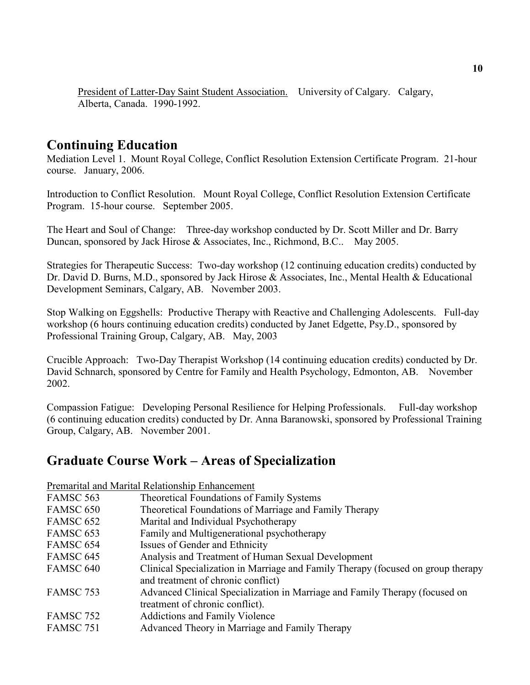President of Latter-Day Saint Student Association. University of Calgary. Calgary, Alberta, Canada. 1990-1992.

### Continuing Education

Mediation Level 1. Mount Royal College, Conflict Resolution Extension Certificate Program. 21-hour course. January, 2006.

Introduction to Conflict Resolution. Mount Royal College, Conflict Resolution Extension Certificate Program. 15-hour course. September 2005.

The Heart and Soul of Change: Three-day workshop conducted by Dr. Scott Miller and Dr. Barry Duncan, sponsored by Jack Hirose & Associates, Inc., Richmond, B.C.. May 2005.

Strategies for Therapeutic Success: Two-day workshop (12 continuing education credits) conducted by Dr. David D. Burns, M.D., sponsored by Jack Hirose & Associates, Inc., Mental Health & Educational Development Seminars, Calgary, AB. November 2003.

Stop Walking on Eggshells: Productive Therapy with Reactive and Challenging Adolescents. Full-day workshop (6 hours continuing education credits) conducted by Janet Edgette, Psy.D., sponsored by Professional Training Group, Calgary, AB. May, 2003

Crucible Approach: Two-Day Therapist Workshop (14 continuing education credits) conducted by Dr. David Schnarch, sponsored by Centre for Family and Health Psychology, Edmonton, AB. November 2002.

Compassion Fatigue: Developing Personal Resilience for Helping Professionals. Full-day workshop (6 continuing education credits) conducted by Dr. Anna Baranowski, sponsored by Professional Training Group, Calgary, AB. November 2001.

# Graduate Course Work – Areas of Specialization

Premarital and Marital Relationship Enhancement FAMSC 563 Theoretical Foundations of Family Systems FAMSC 650 Theoretical Foundations of Marriage and Family Therapy FAMSC 652 Marital and Individual Psychotherapy FAMSC 653 Family and Multigenerational psychotherapy FAMSC 654 Issues of Gender and Ethnicity FAMSC 645 Analysis and Treatment of Human Sexual Development FAMSC 640 Clinical Specialization in Marriage and Family Therapy (focused on group therapy and treatment of chronic conflict) FAMSC 753 Advanced Clinical Specialization in Marriage and Family Therapy (focused on treatment of chronic conflict). FAMSC 752 Addictions and Family Violence FAMSC 751 Advanced Theory in Marriage and Family Therapy